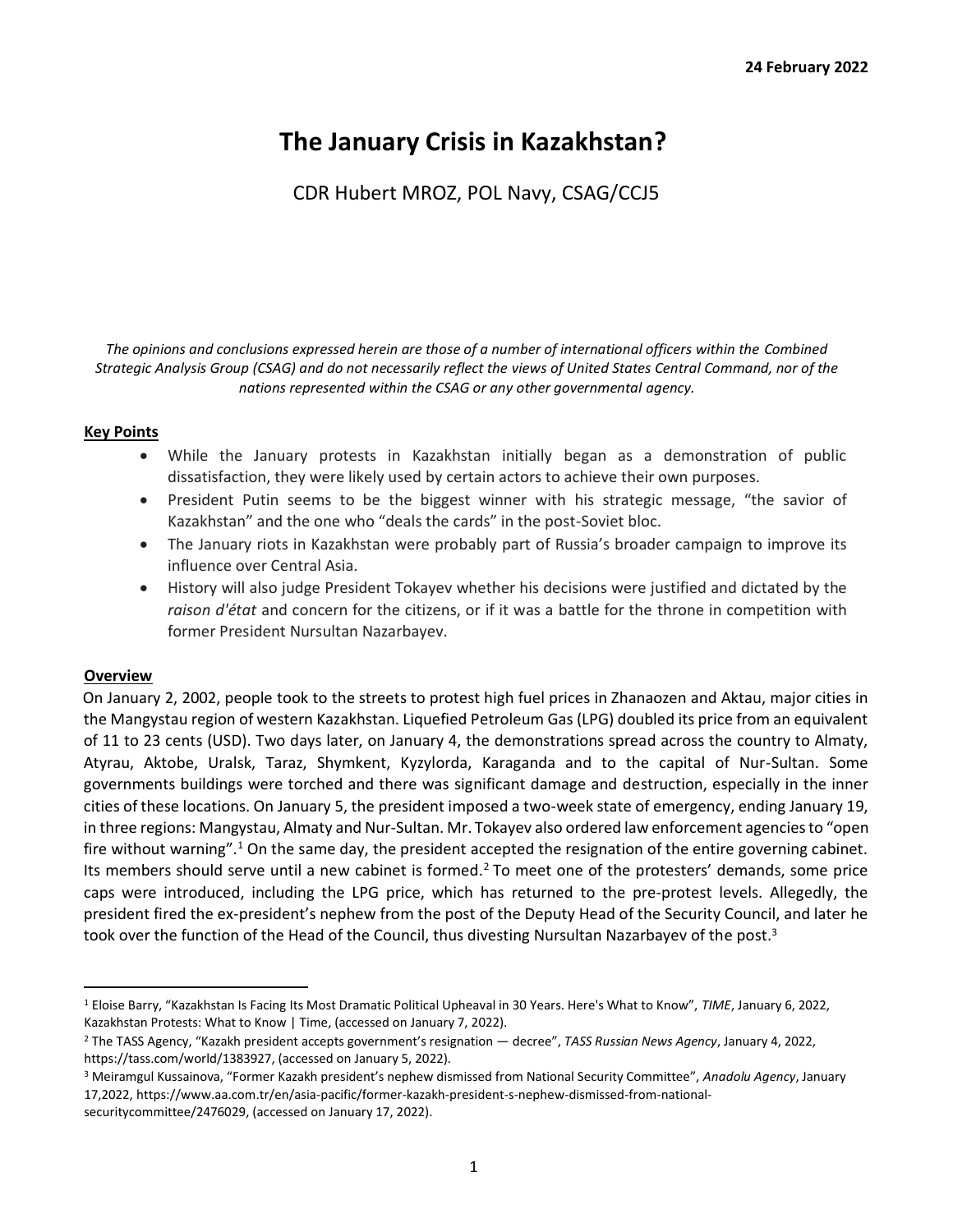# **The January Crisis in Kazakhstan?**

CDR Hubert MROZ, POL Navy, CSAG/CCJ5

*The opinions and conclusions expressed herein are those of a number of international officers within the Combined Strategic Analysis Group (CSAG) and do not necessarily reflect the views of United States Central Command, nor of the nations represented within the CSAG or any other governmental agency.*

## **Key Points**

- While the January protests in Kazakhstan initially began as a demonstration of public dissatisfaction, they were likely used by certain actors to achieve their own purposes.
- President Putin seems to be the biggest winner with his strategic message, "the savior of Kazakhstan" and the one who "deals the cards" in the post-Soviet bloc.
- The January riots in Kazakhstan were probably part of Russia's broader campaign to improve its influence over Central Asia.
- History will also judge President Tokayev whether his decisions were justified and dictated by the *raison d'état* and concern for the citizens, or if it was a battle for the throne in competition with former President Nursultan Nazarbayev.

#### **Overview**

On January 2, 2002, people took to the streets to protest high fuel prices in Zhanaozen and Aktau, major cities in the Mangystau region of western Kazakhstan. Liquefied Petroleum Gas (LPG) doubled its price from an equivalent of 11 to 23 cents (USD). Two days later, on January 4, the demonstrations spread across the country to Almaty, Atyrau, Aktobe, Uralsk, Taraz, Shymkent, Kyzylorda, Karaganda and to the capital of Nur-Sultan. Some governments buildings were torched and there was significant damage and destruction, especially in the inner cities of these locations. On January 5, the president imposed a two-week state of emergency, ending January 19, in three regions: Mangystau, Almaty and Nur-Sultan. Mr. Tokayev also ordered law enforcement agencies to "open fire without warning".<sup>1</sup> On the same day, the president accepted the resignation of the entire governing cabinet. Its members should serve until a new cabinet is formed.<sup>2</sup> To meet one of the protesters' demands, some price caps were introduced, including the LPG price, which has returned to the pre-protest levels. Allegedly, the president fired the ex-president's nephew from the post of the Deputy Head of the Security Council, and later he took over the function of the Head of the Council, thus divesting Nursultan Nazarbayev of the post.<sup>3</sup>

<sup>1</sup> Eloise Barry, "Kazakhstan Is Facing Its Most Dramatic Political Upheaval in 30 Years. Here's What to Know", *TIME*, January 6, 2022, [Kazakhstan Protests: What to Know](https://time.com/6137439/kazakhstan-protests-russia/) [| Time, \(](https://time.com/6137439/kazakhstan-protests-russia/)accessed on January 7, 2022).

<sup>2</sup> The TASS Agency, "Kazakh president accepts government's resignation — decree", *TASS Russian News Agency*, January 4, 2022, [https://tass.com/world/1383927, \(](https://tass.com/world/1383927)accessed on January 5, 2022).

<sup>3</sup> Meiramgul Kussainova, "Former Kazakh president's nephew dismissed from National Security Committee", *Anadolu Agency*, January 17,202[2, https://www.aa.com.tr/en/asia-pacific/former-kazakh-president-s-nephew-dismissed-from-national](https://www.aa.com.tr/en/asia-pacific/former-kazakh-president-s-nephew-dismissed-from-national-security-committee/2476029)[securitycommittee/2476029, \(](https://www.aa.com.tr/en/asia-pacific/former-kazakh-president-s-nephew-dismissed-from-national-security-committee/2476029)accessed on January 17, 2022).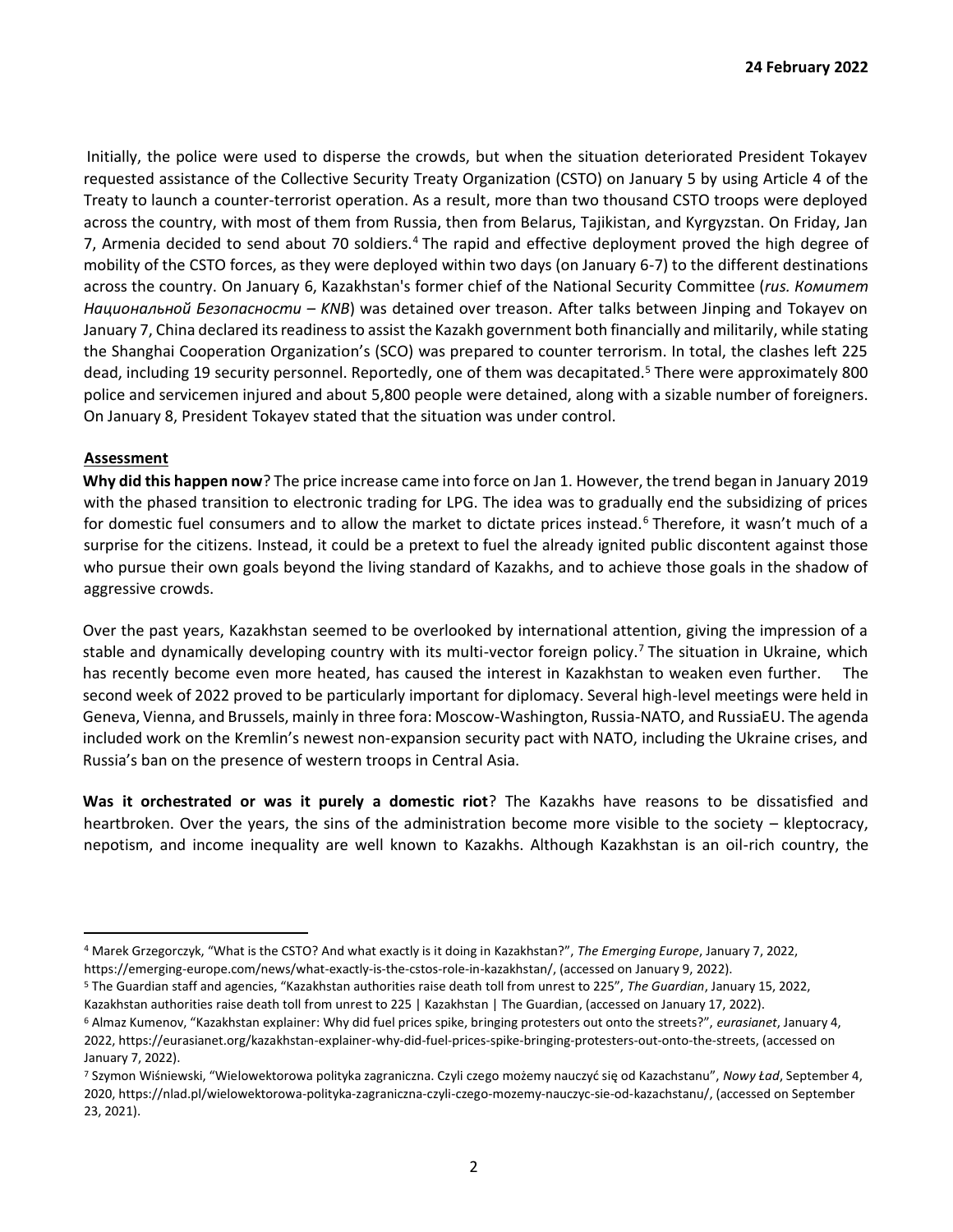Initially, the police were used to disperse the crowds, but when the situation deteriorated President Tokayev requested assistance of the Collective Security Treaty Organization (CSTO) on January 5 by using Article 4 of the Treaty to launch a counter-terrorist operation. As a result, more than two thousand CSTO troops were deployed across the country, with most of them from Russia, then from Belarus, Tajikistan, and Kyrgyzstan. On Friday, Jan 7, Armenia decided to send about 70 soldiers.<sup>4</sup> The rapid and effective deployment proved the high degree of mobility of the CSTO forces, as they were deployed within two days (on January 6-7) to the different destinations across the country. On January 6, Kazakhstan's former chief of the National Security Committee (*rus. Комитет Национальной Безопасности – KNB*) was detained over treason. After talks between Jinping and Tokayev on January 7, China declared its readiness to assist the Kazakh government both financially and militarily, while stating the Shanghai Cooperation Organization's (SCO) was prepared to counter terrorism. In total, the clashes left 225 dead, including 19 security personnel. Reportedly, one of them was decapitated.<sup>5</sup> There were approximately 800 police and servicemen injured and about 5,800 people were detained, along with a sizable number of foreigners. On January 8, President Tokayev stated that the situation was under control.

#### **Assessment**

**Why did this happen now**? The price increase came into force on Jan 1. However, the trend began in January 2019 with the phased transition to electronic trading for LPG. The idea was to gradually end the subsidizing of prices for domestic fuel consumers and to allow the market to dictate prices instead.<sup>6</sup> Therefore, it wasn't much of a surprise for the citizens. Instead, it could be a pretext to fuel the already ignited public discontent against those who pursue their own goals beyond the living standard of Kazakhs, and to achieve those goals in the shadow of aggressive crowds.

Over the past years, Kazakhstan seemed to be overlooked by international attention, giving the impression of a stable and dynamically developing country with its multi-vector foreign policy.<sup>7</sup> The situation in Ukraine, which has recently become even more heated, has caused the interest in Kazakhstan to weaken even further. The second week of 2022 proved to be particularly important for diplomacy. Several high-level meetings were held in Geneva, Vienna, and Brussels, mainly in three fora: Moscow-Washington, Russia-NATO, and RussiaEU. The agenda included work on the Kremlin's newest non-expansion security pact with NATO, including the Ukraine crises, and Russia's ban on the presence of western troops in Central Asia.

**Was it orchestrated or was it purely a domestic riot**? The Kazakhs have reasons to be dissatisfied and heartbroken. Over the years, the sins of the administration become more visible to the society – kleptocracy, nepotism, and income inequality are well known to Kazakhs. Although Kazakhstan is an oil-rich country, the

<sup>4</sup> Marek Grzegorczyk, "What is the CSTO? And what exactly is it doing in Kazakhstan?", *The Emerging Europe*, January 7, 2022, [https://emerging-europe.com/news/what-exactly-is-the-cstos-role-in-kazakhstan/,](https://emerging-europe.com/news/what-exactly-is-the-cstos-role-in-kazakhstan/) (accessed on January 9, 2022).

<sup>5</sup> The Guardian staff and agencies, "Kazakhstan authorities raise death toll from unrest to 225", *The Guardian*, January 15, 2022, [Kazakhstan authorities raise death toll from unrest to 225 | Kazakhstan | The Guardian, \(](https://www.theguardian.com/world/2022/jan/16/kazakhstan-authorities-raise-death-toll-from-unrest-to-225)accessed on January 17, 2022).

<sup>6</sup> Almaz Kumenov, "Kazakhstan explainer: Why did fuel prices spike, bringing protesters out onto the streets?", *eurasianet*, January 4, 202[2, https://eurasianet.org/kazakhstan-explainer-why-did-fuel-prices-spike-bringing-protesters-out-onto-the-streets,](https://eurasianet.org/kazakhstan-explainer-why-did-fuel-prices-spike-bringing-protesters-out-onto-the-streets) (accessed on January 7, 2022).

<sup>7</sup> Szymon Wiśniewski, "Wielowektorowa polityka zagraniczna. Czyli czego możemy nauczyć się od Kazachstanu", *Nowy Ład*, September 4, 202[0, https://nlad.pl/wielowektorowa-polityka-zagraniczna-czyli-czego-mozemy-nauczyc-sie-od-kazachstanu/, \(](https://nlad.pl/wielowektorowa-polityka-zagraniczna-czyli-czego-mozemy-nauczyc-sie-od-kazachstanu/)accessed on September 23, 2021).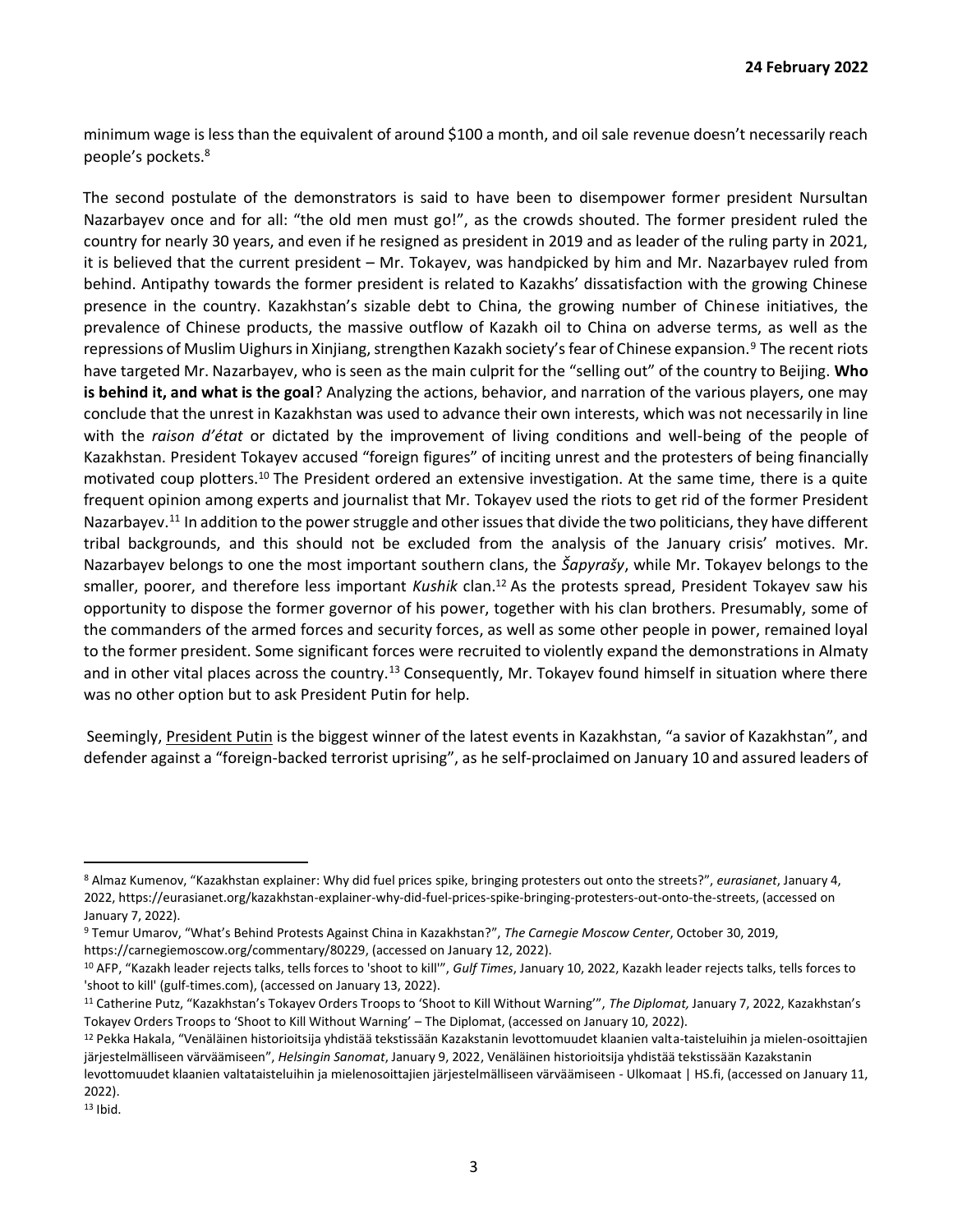minimum wage is less than the equivalent of around \$100 a month, and oil sale revenue doesn't necessarily reach people's pockets.<sup>8</sup>

The second postulate of the demonstrators is said to have been to disempower former president Nursultan Nazarbayev once and for all: "the old men must go!", as the crowds shouted. The former president ruled the country for nearly 30 years, and even if he resigned as president in 2019 and as leader of the ruling party in 2021, it is believed that the current president – Mr. Tokayev, was handpicked by him and Mr. Nazarbayev ruled from behind. Antipathy towards the former president is related to Kazakhs' dissatisfaction with the growing Chinese presence in the country. Kazakhstan's sizable debt to China, the growing number of Chinese initiatives, the prevalence of Chinese products, the massive outflow of Kazakh oil to China on adverse terms, as well as the repressions of Muslim Uighurs in Xinjiang, strengthen Kazakh society's fear of Chinese expansion.<sup>9</sup> The recent riots have targeted Mr. Nazarbayev, who is seen as the main culprit for the "selling out" of the country to Beijing. **Who is behind it, and what is the goal**? Analyzing the actions, behavior, and narration of the various players, one may conclude that the unrest in Kazakhstan was used to advance their own interests, which was not necessarily in line with the *raison d'état* or dictated by the improvement of living conditions and well-being of the people of Kazakhstan. President Tokayev accused "foreign figures" of inciting unrest and the protesters of being financially motivated coup plotters.<sup>10</sup> The President ordered an extensive investigation. At the same time, there is a quite frequent opinion among experts and journalist that Mr. Tokayev used the riots to get rid of the former President Nazarbayev.<sup>11</sup> In addition to the power struggle and other issues that divide the two politicians, they have different tribal backgrounds, and this should not be excluded from the analysis of the January crisis' motives. Mr. Nazarbayev belongs to one the most important southern clans, the *Šapyrašy*, while Mr. Tokayev belongs to the smaller, poorer, and therefore less important *Kushik* clan.<sup>12</sup> As the protests spread, President Tokayev saw his opportunity to dispose the former governor of his power, together with his clan brothers. Presumably, some of the commanders of the armed forces and security forces, as well as some other people in power, remained loyal to the former president. Some significant forces were recruited to violently expand the demonstrations in Almaty and in other vital places across the country.<sup>13</sup> Consequently, Mr. Tokayev found himself in situation where there was no other option but to ask President Putin for help.

Seemingly, President Putin is the biggest winner of the latest events in Kazakhstan, "a savior of Kazakhstan", and defender against a "foreign-backed terrorist uprising", as he self-proclaimed on January 10 and assured leaders of

<sup>13</sup> Ibid.

<sup>8</sup> Almaz Kumenov, "Kazakhstan explainer: Why did fuel prices spike, bringing protesters out onto the streets?", *eurasianet*, January 4, 202[2, https://eurasianet.org/kazakhstan-explainer-why-did-fuel-prices-spike-bringing-protesters-out-onto-the-streets,](https://eurasianet.org/kazakhstan-explainer-why-did-fuel-prices-spike-bringing-protesters-out-onto-the-streets) (accessed on January 7, 2022).

<sup>9</sup> Temur Umarov, "What's Behind Protests Against China in Kazakhstan?", *The Carnegie Moscow Center*, October 30, 2019, [https://carnegiemoscow.org/commentary/80229, \(](https://carnegiemoscow.org/commentary/80229)accessed on January 12, 2022).

<sup>10</sup> AFP, "Kazakh leader rejects talks, tells forces to 'shoot to kill'", *Gulf Times*, January 10, 202[2, Kazakh leader rejects talks, tells forces to](https://www.gulf-times.com/story/707597/Kazakh-leader-rejects-talks-tells-forces-to-shoot-)  ['shoot to kill' \(gulf-times.com\),](https://www.gulf-times.com/story/707597/Kazakh-leader-rejects-talks-tells-forces-to-shoot-) (accessed on January 13, 2022).

<sup>11</sup> Catherine Putz, "Kazakhstan's Tokayev Orders Troops to 'Shoot to Kill Without Warning'", *The Diplomat,* January 7, 202[2,](https://thediplomat.com/2022/01/kazakhstans-tokayev-orders-troops-to-shoot-to-kill-without-warning/) [Kazakhstan's](https://thediplomat.com/2022/01/kazakhstans-tokayev-orders-troops-to-shoot-to-kill-without-warning/)  [Tokayev Orders Troops to 'Shoot to Kill Without Warning' –](https://thediplomat.com/2022/01/kazakhstans-tokayev-orders-troops-to-shoot-to-kill-without-warning/) [The Diplomat, \(](https://thediplomat.com/2022/01/kazakhstans-tokayev-orders-troops-to-shoot-to-kill-without-warning/)accessed on January 10, 2022).

<sup>12</sup> Pekka Hakala, "Venäläinen historioitsija yhdistää tekstissään Kazakstanin levottomuudet klaanien valta-taisteluihin ja mielen-osoittajien järjestelmälliseen värväämiseen", *Helsingin Sanomat*, January 9, 202[2, Venäläinen historioitsija yhdistää tekstissään Kazakstanin](https://www.hs.fi/ulkomaat/art-2000008527562.html) 

[levottomuudet klaanien valtataisteluihin ja mielenosoittajien järjestelmälliseen värväämiseen -](https://www.hs.fi/ulkomaat/art-2000008527562.html) [Ulkomaat](https://www.hs.fi/ulkomaat/art-2000008527562.html) [| HS.fi,](https://www.hs.fi/ulkomaat/art-2000008527562.html) (accessed on January 11, 2022).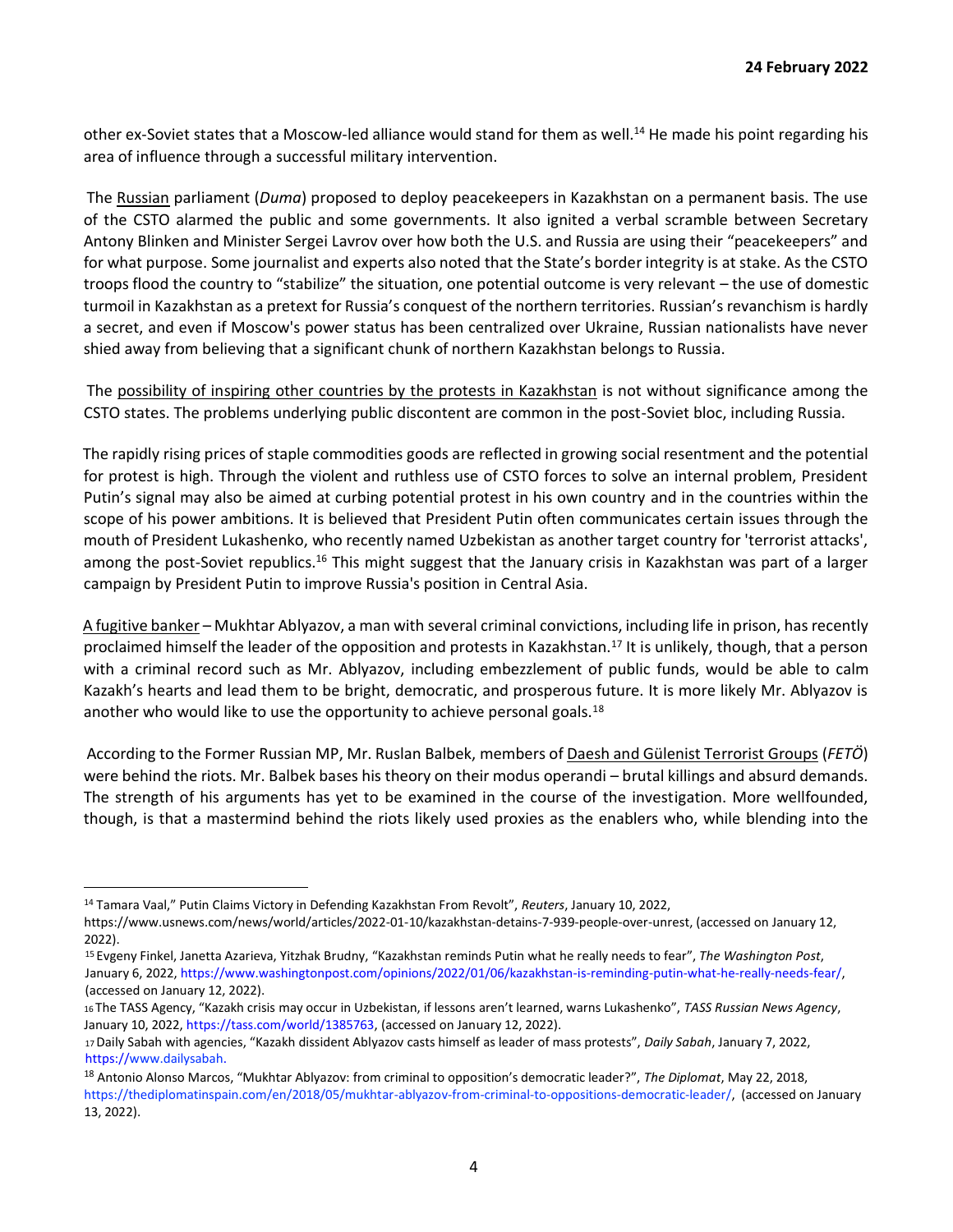other ex-Soviet states that a Moscow-led alliance would stand for them as well.<sup>14</sup> He made his point regarding his area of influence through a successful military intervention.

The Russian parliament (*Duma*) proposed to deploy peacekeepers in Kazakhstan on a permanent basis. The use of the CSTO alarmed the public and some governments. It also ignited a verbal scramble between Secretary Antony Blinken and Minister Sergei Lavrov over how both the U.S. and Russia are using their "peacekeepers" and for what purpose. Some journalist and experts also noted that the State's border integrity is at stake. As the CSTO troops flood the country to "stabilize" the situation, one potential outcome is very relevant – the use of domestic turmoil in Kazakhstan as a pretext for Russia's conquest of the northern territories. Russian's revanchism is hardly a secret, and even if Moscow's power status has been centralized over Ukraine, Russian nationalists have never shied away from believing that a significant chunk of northern Kazakhstan belongs to Russia.

The possibility of inspiring other countries by the protests in Kazakhstan is not without significance among the CSTO states. The problems underlying public discontent are common in the post-Soviet bloc, including Russia.

The rapidly rising prices of staple commodities goods are reflected in growing social resentment and the potential for protest is high. Through the violent and ruthless use of CSTO forces to solve an internal problem, President Putin's signal may also be aimed at curbing potential protest in his own country and in the countries within the scope of his power ambitions. It is believed that President Putin often communicates certain issues through the mouth of President Lukashenko, who recently named Uzbekistan as another target country for 'terrorist attacks', among the post-Soviet republics.<sup>16</sup> This might suggest that the January crisis in Kazakhstan was part of a larger campaign by President Putin to improve Russia's position in Central Asia.

A fugitive banker – Mukhtar Ablyazov, a man with several criminal convictions, including life in prison, has recently proclaimed himself the leader of the opposition and protests in Kazakhstan.<sup>17</sup> It is unlikely, though, that a person with a criminal record such as Mr. Ablyazov, including embezzlement of public funds, would be able to calm Kazakh's hearts and lead them to be bright, democratic, and prosperous future. It is more likely Mr. Ablyazov is another who would like to use the opportunity to achieve personal goals.<sup>18</sup>

According to the Former Russian MP, Mr. Ruslan Balbek, members of Daesh and Gülenist Terrorist Groups (*FETÖ*) were behind the riots. Mr. Balbek bases his theory on their modus operandi – brutal killings and absurd demands. The strength of his arguments has yet to be examined in the course of the investigation. More wellfounded, though, is that a mastermind behind the riots likely used proxies as the enablers who, while blending into the

<sup>14</sup> Tamara Vaal," Putin Claims Victory in Defending Kazakhstan From Revolt", *Reuters*, January 10, 2022,

[https://www.usnews.com/news/world/articles/2022-01-10/kazakhstan-detains-7-939-people-over-unrest,](https://www.usnews.com/news/world/articles/2022-01-10/kazakhstan-detains-7-939-people-over-unrest) (accessed on January 12, 2022).

<sup>15</sup>Evgeny Finkel, Janetta Azarieva, Yitzhak Brudny, "Kazakhstan reminds Putin what he really needs to fear", *The Washington Post*, January 6, 2022, https://www.washingtonpost.com/opinions/2022/01/06/kazakhstan-is-reminding-putin-what-he-really-needs-fear/, (accessed on January 12, 2022).

<sup>16</sup>The TASS Agency, "Kazakh crisis may occur in Uzbekistan, if lessons aren't learned, warns Lukashenko", *TASS Russian News Agency*, January 10, 2022, https://tass.com/world/1385763, (accessed on January 12, 2022).

<sup>17</sup>Daily Sabah with agencies, "Kazakh dissident Ablyazov casts himself as leader of mass protests", *Daily Sabah*, January 7, 2022, https://www.dailysabah.

<sup>18</sup> Antonio Alonso Marcos, "Mukhtar Ablyazov: from criminal to opposition's democratic leader?", *The Diplomat*, May 22, 2018, [https://thediplomatinspain.com/en/2018/05/mukhtar-ablyazov-from-criminal-to-oppositions-democratic-leader/, \(](https://thediplomatinspain.com/en/2018/05/mukhtar-ablyazov-from-criminal-to-oppositions-democratic-leader/)accessed on January 13, 2022).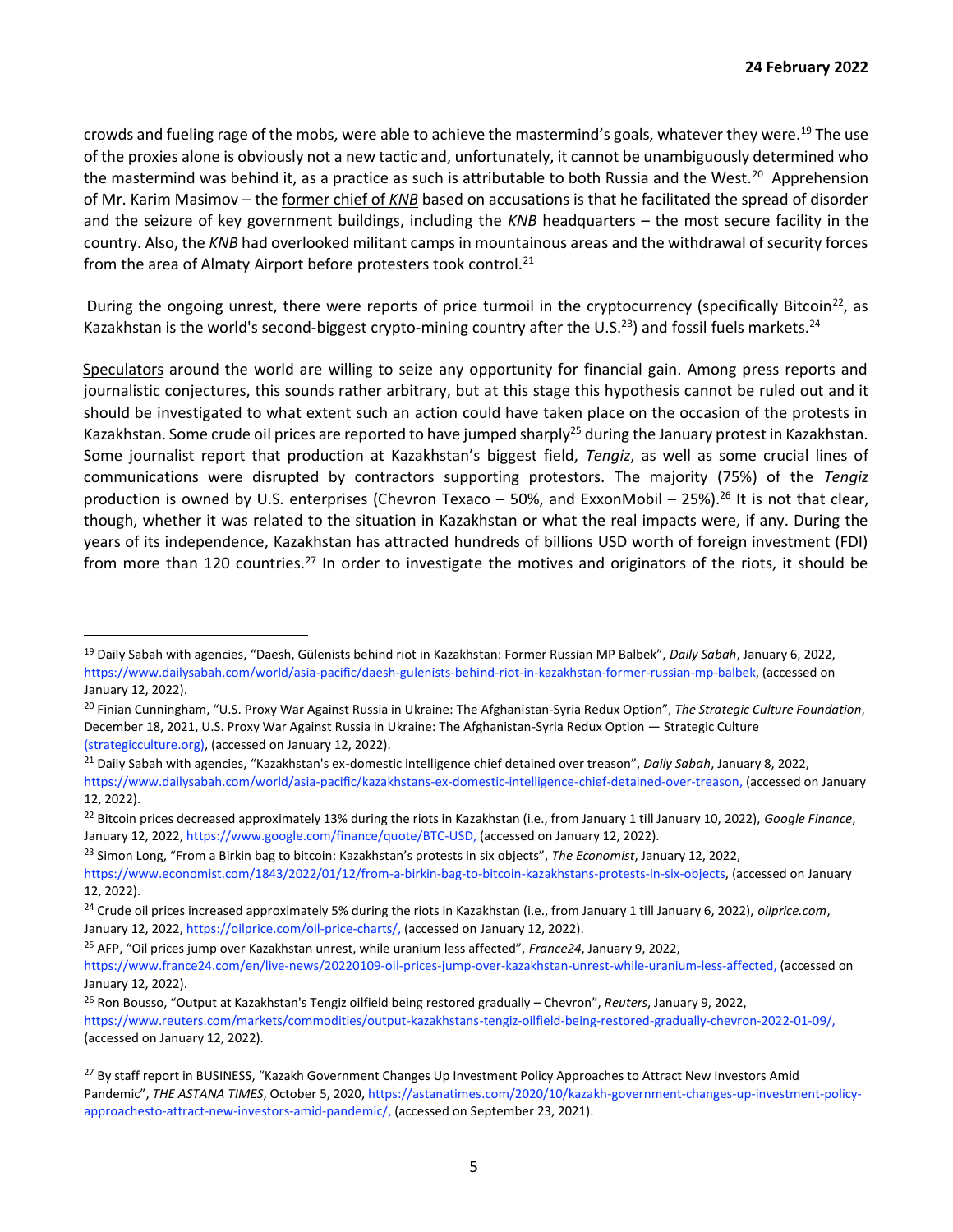crowds and fueling rage of the mobs, were able to achieve the mastermind's goals, whatever they were.<sup>19</sup> The use of the proxies alone is obviously not a new tactic and, unfortunately, it cannot be unambiguously determined who the mastermind was behind it, as a practice as such is attributable to both Russia and the West.<sup>20</sup> Apprehension of Mr. Karim Masimov – the former chief of *KNB* based on accusations is that he facilitated the spread of disorder and the seizure of key government buildings, including the *KNB* headquarters – the most secure facility in the country. Also, the *KNB* had overlooked militant camps in mountainous areas and the withdrawal of security forces from the area of Almaty Airport before protesters took control.<sup>21</sup>

During the ongoing unrest, there were reports of price turmoil in the cryptocurrency (specifically Bitcoin<sup>22</sup>, as Kazakhstan is the world's second-biggest crypto-mining country after the U.S.<sup>23</sup>) and fossil fuels markets.<sup>24</sup>

Speculators around the world are willing to seize any opportunity for financial gain. Among press reports and journalistic conjectures, this sounds rather arbitrary, but at this stage this hypothesis cannot be ruled out and it should be investigated to what extent such an action could have taken place on the occasion of the protests in Kazakhstan. Some crude oil prices are reported to have jumped sharply<sup>25</sup> during the January protest in Kazakhstan. Some journalist report that production at Kazakhstan's biggest field, *Tengiz*, as well as some crucial lines of communications were disrupted by contractors supporting protestors. The majority (75%) of the *Tengiz* production is owned by U.S. enterprises (Chevron Texaco – 50%, and ExxonMobil – 25%).<sup>26</sup> It is not that clear, though, whether it was related to the situation in Kazakhstan or what the real impacts were, if any. During the years of its independence, Kazakhstan has attracted hundreds of billions USD worth of foreign investment (FDI) from more than 120 countries.<sup>27</sup> In order to investigate the motives and originators of the riots, it should be

<sup>19</sup> Daily Sabah with agencies, "Daesh, Gülenists behind riot in Kazakhstan: Former Russian MP Balbek", *Daily Sabah*, January 6, 2022, [https://www.dailysabah.com/world/asia-pacific/daesh-gulenists-behind-riot-in-kazakhstan-former-russian-mp-balbek,](https://www.dailysabah.com/world/asia-pacific/daesh-gulenists-behind-riot-in-kazakhstan-former-russian-mp-balbek) (accessed on January 12, 2022).

<sup>20</sup> Finian Cunningham, "U.S. Proxy War Against Russia in Ukraine: The Afghanistan-Syria Redux Option", *The Strategic Culture Foundation*, December 18, 202[1, U.S. Proxy War Against Russia in Ukraine: The Afghanistan-Syria Redux Option](https://www.strategic-culture.org/news/2021/12/18/us-proxy-war-against-russia-ukraine-afghanistan-syria-redux-option/) [—](https://www.strategic-culture.org/news/2021/12/18/us-proxy-war-against-russia-ukraine-afghanistan-syria-redux-option/) [Strategic Culture](https://www.strategic-culture.org/news/2021/12/18/us-proxy-war-against-russia-ukraine-afghanistan-syria-redux-option/)  [\(strategicculture.org\), \(](https://www.strategic-culture.org/news/2021/12/18/us-proxy-war-against-russia-ukraine-afghanistan-syria-redux-option/)accessed on January 12, 2022).

<sup>21</sup> Daily Sabah with agencies, "Kazakhstan's ex-domestic intelligence chief detained over treason", *Daily Sabah*, January 8, 2022, [https://www.dailysabah.com/world/asia-pacific/kazakhstans-ex-domestic-intelligence-chief-detained-over-treason,](https://www.dailysabah.com/world/asia-pacific/kazakhstans-ex-domestic-intelligence-chief-detained-over-treason) (accessed on January 12, 2022).

<sup>22</sup> Bitcoin prices decreased approximately 13% during the riots in Kazakhstan (i.e., from January 1 till January 10, 2022), *Google Finance*, January 12, 202[2, https://www.google.com/finance/quote/BTC-USD, \(](https://www.google.com/finance/quote/BTC-USD)accessed on January 12, 2022).

<sup>23</sup> Simon Long, "From a Birkin bag to bitcoin: Kazakhstan's protests in six objects", *The Economist*, January 12, 2022,

[https://www.economist.com/1843/2022/01/12/from-a-birkin-bag-to-bitcoin-kazakhstans-protests-in-six-objects, \(](https://www.economist.com/1843/2022/01/12/from-a-birkin-bag-to-bitcoin-kazakhstans-protests-in-six-objects)accessed on January 12, 2022).

<sup>24</sup> Crude oil prices increased approximately 5% during the riots in Kazakhstan (i.e., from January 1 till January 6, 2022), *oilprice.com*, January 12, 202[2, https://oilprice.com/oil-price-charts/, \(](https://oilprice.com/oil-price-charts/)accessed on January 12, 2022).

<sup>25</sup> AFP, "Oil prices jump over Kazakhstan unrest, while uranium less affected", *France24*, January 9, 2022,

[https://www.france24.com/en/live-news/20220109-oil-prices-jump-over-kazakhstan-unrest-while-uranium-less-affected,](https://www.france24.com/en/live-news/20220109-oil-prices-jump-over-kazakhstan-unrest-while-uranium-less-affected) (accessed on January 12, 2022).

<sup>26</sup> Ron Bousso, "Output at Kazakhstan's Tengiz oilfield being restored gradually – Chevron", *Reuters*, January 9, 2022, [https://www.reuters.com/markets/commodities/output-kazakhstans-tengiz-oilfield-being-restored-gradually-chevron-2022-01-09/,](https://www.reuters.com/markets/commodities/output-kazakhstans-tengiz-oilfield-being-restored-gradually-chevron-2022-01-09/)  (accessed on January 12, 2022).

<sup>&</sup>lt;sup>27</sup> By staff report in BUSINESS, "Kazakh Government Changes Up Investment Policy Approaches to Attract New Investors Amid Pandemic", *THE ASTANA TIMES*, October 5, 202[0, https://astanatimes.com/2020/10/kazakh-government-changes-up-investment-policy](https://astanatimes.com/2020/10/kazakh-government-changes-up-investment-policy-approaches-to-attract-new-investors-amid-pandemic/)[approachesto-attract-new-investors-amid-pandemic/,](https://astanatimes.com/2020/10/kazakh-government-changes-up-investment-policy-approaches-to-attract-new-investors-amid-pandemic/) (accessed on September 23, 2021).